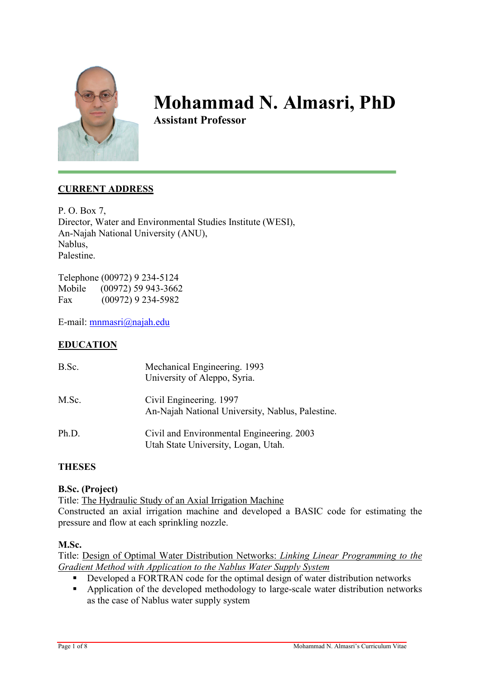

# Mohammad N. Almasri, PhD

Assistant Professor

# CURRENT ADDRESS

P. O. Box 7, Director, Water and Environmental Studies Institute (WESI), An-Najah National University (ANU), Nablus, Palestine.

Telephone (00972) 9 234-5124 Mobile (00972) 59 943-3662 Fax (00972) 9 234-5982

E-mail: mnmasri@najah.edu

# EDUCATION

| B.Sc. | Mechanical Engineering. 1993<br>University of Aleppo, Syria.                     |
|-------|----------------------------------------------------------------------------------|
| M.Sc. | Civil Engineering. 1997<br>An-Najah National University, Nablus, Palestine.      |
| Ph.D. | Civil and Environmental Engineering. 2003<br>Utah State University, Logan, Utah. |

# **THESES**

## B.Sc. (Project)

Title: The Hydraulic Study of an Axial Irrigation Machine Constructed an axial irrigation machine and developed a BASIC code for estimating the pressure and flow at each sprinkling nozzle.

## M.Sc.

Title: Design of Optimal Water Distribution Networks: Linking Linear Programming to the Gradient Method with Application to the Nablus Water Supply System

- Developed a FORTRAN code for the optimal design of water distribution networks
- Application of the developed methodology to large-scale water distribution networks as the case of Nablus water supply system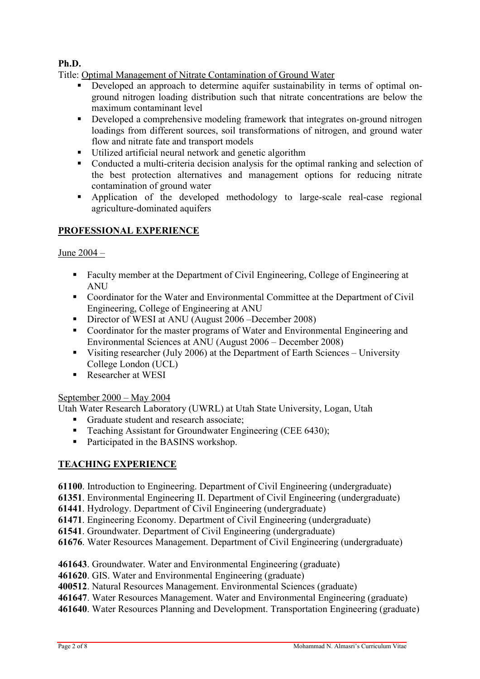# Ph.D.

Title: Optimal Management of Nitrate Contamination of Ground Water

- Developed an approach to determine aquifer sustainability in terms of optimal onground nitrogen loading distribution such that nitrate concentrations are below the maximum contaminant level
- Developed a comprehensive modeling framework that integrates on-ground nitrogen loadings from different sources, soil transformations of nitrogen, and ground water flow and nitrate fate and transport models
- Utilized artificial neural network and genetic algorithm
- Conducted a multi-criteria decision analysis for the optimal ranking and selection of the best protection alternatives and management options for reducing nitrate contamination of ground water
- Application of the developed methodology to large-scale real-case regional agriculture-dominated aquifers

# PROFESSIONAL EXPERIENCE

# June 2004 –

- Faculty member at the Department of Civil Engineering, College of Engineering at **ANU**
- Coordinator for the Water and Environmental Committee at the Department of Civil Engineering, College of Engineering at ANU
- Director of WESI at ANU (August 2006 December 2008)
- Coordinator for the master programs of Water and Environmental Engineering and Environmental Sciences at ANU (August 2006 – December 2008)
- Visiting researcher (July 2006) at the Department of Earth Sciences University College London (UCL)
- Researcher at WESI

## September 2000 – May 2004

Utah Water Research Laboratory (UWRL) at Utah State University, Logan, Utah

- Graduate student and research associate;<br>
Feaching Assistant for Groundwater Eng
- Teaching Assistant for Groundwater Engineering (CEE 6430);
- Participated in the BASINS workshop.

# TEACHING EXPERIENCE

- 61100. Introduction to Engineering. Department of Civil Engineering (undergraduate)
- 61351. Environmental Engineering II. Department of Civil Engineering (undergraduate)
- 61441. Hydrology. Department of Civil Engineering (undergraduate)
- 61471. Engineering Economy. Department of Civil Engineering (undergraduate)
- 61541. Groundwater. Department of Civil Engineering (undergraduate)
- 61676. Water Resources Management. Department of Civil Engineering (undergraduate)
- 461643. Groundwater. Water and Environmental Engineering (graduate)
- 461620. GIS. Water and Environmental Engineering (graduate)
- 400512. Natural Resources Management. Environmental Sciences (graduate)
- 461647. Water Resources Management. Water and Environmental Engineering (graduate)
- 461640. Water Resources Planning and Development. Transportation Engineering (graduate)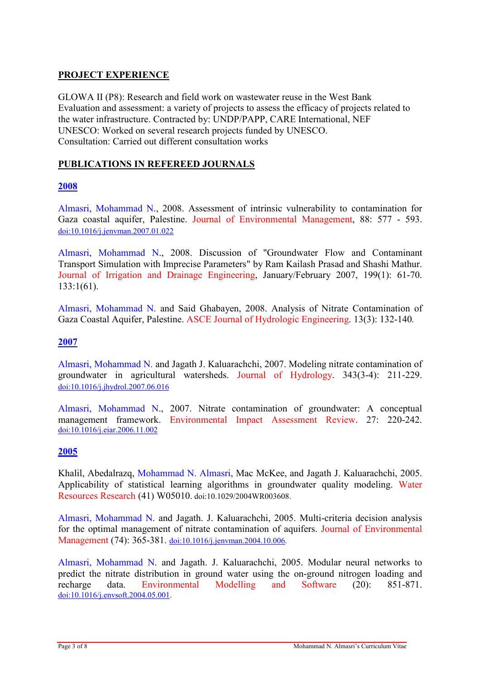# PROJECT EXPERIENCE

GLOWA II (P8): Research and field work on wastewater reuse in the West Bank Evaluation and assessment: a variety of projects to assess the efficacy of projects related to the water infrastructure. Contracted by: UNDP/PAPP, CARE International, NEF UNESCO: Worked on several research projects funded by UNESCO. Consultation: Carried out different consultation works

# PUBLICATIONS IN REFEREED JOURNALS

## 2008

Almasri, Mohammad N., 2008. Assessment of intrinsic vulnerability to contamination for Gaza coastal aquifer, Palestine. Journal of Environmental Management, 88: 577 - 593. doi:10.1016/j.jenvman.2007.01.022

Almasri, Mohammad N., 2008. Discussion of "Groundwater Flow and Contaminant Transport Simulation with Imprecise Parameters" by Ram Kailash Prasad and Shashi Mathur. Journal of Irrigation and Drainage Engineering, January/February 2007, 199(1): 61-70. 133:1(61).

Almasri, Mohammad N. and Said Ghabayen, 2008. Analysis of Nitrate Contamination of Gaza Coastal Aquifer, Palestine. ASCE Journal of Hydrologic Engineering. 13(3): 132-140.

## 2007

Almasri, Mohammad N. and Jagath J. Kaluarachchi, 2007. Modeling nitrate contamination of groundwater in agricultural watersheds. Journal of Hydrology. 343(3-4): 211-229. doi:10.1016/j.jhydrol.2007.06.016

Almasri, Mohammad N., 2007. Nitrate contamination of groundwater: A conceptual management framework. Environmental Impact Assessment Review. 27: 220-242. doi:10.1016/j.eiar.2006.11.002

## 2005

Khalil, Abedalrazq, Mohammad N. Almasri, Mac McKee, and Jagath J. Kaluarachchi, 2005. Applicability of statistical learning algorithms in groundwater quality modeling. Water Resources Research (41) W05010. doi:10.1029/2004WR003608.

Almasri, Mohammad N. and Jagath. J. Kaluarachchi, 2005. Multi-criteria decision analysis for the optimal management of nitrate contamination of aquifers. Journal of Environmental Management (74): 365-381. doi:10.1016/j.jenvman.2004.10.006.

Almasri, Mohammad N. and Jagath. J. Kaluarachchi, 2005. Modular neural networks to predict the nitrate distribution in ground water using the on-ground nitrogen loading and recharge data. Environmental Modelling and Software (20): 851-871. doi:10.1016/j.envsoft.2004.05.001.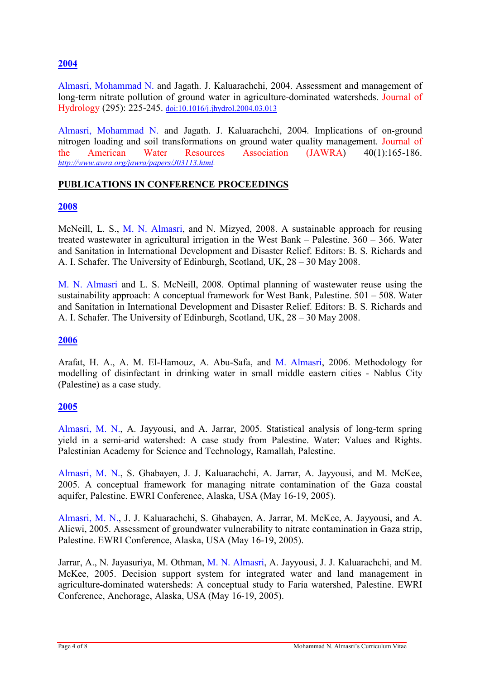# 2004

Almasri, Mohammad N. and Jagath. J. Kaluarachchi, 2004. Assessment and management of long-term nitrate pollution of ground water in agriculture-dominated watersheds. Journal of Hydrology (295): 225-245. doi:10.1016/j.jhydrol.2004.03.013

Almasri, Mohammad N. and Jagath. J. Kaluarachchi, 2004. Implications of on-ground nitrogen loading and soil transformations on ground water quality management. Journal of the American Water Resources Association (JAWRA) 40(1):165-186. http://www.awra.org/jawra/papers/J03113.html.

## PUBLICATIONS IN CONFERENCE PROCEEDINGS

#### 2008

McNeill, L. S., M. N. Almasri, and N. Mizyed, 2008. A sustainable approach for reusing treated wastewater in agricultural irrigation in the West Bank – Palestine. 360 – 366. Water and Sanitation in International Development and Disaster Relief. Editors: B. S. Richards and A. I. Schafer. The University of Edinburgh, Scotland, UK, 28 – 30 May 2008.

M. N. Almasri and L. S. McNeill, 2008. Optimal planning of wastewater reuse using the sustainability approach: A conceptual framework for West Bank, Palestine. 501 – 508. Water and Sanitation in International Development and Disaster Relief. Editors: B. S. Richards and A. I. Schafer. The University of Edinburgh, Scotland, UK, 28 – 30 May 2008.

## 2006

Arafat, H. A., A. M. El-Hamouz, A. Abu-Safa, and M. Almasri, 2006. Methodology for modelling of disinfectant in drinking water in small middle eastern cities - Nablus City (Palestine) as a case study.

## 2005

Almasri, M. N., A. Jayyousi, and A. Jarrar, 2005. Statistical analysis of long-term spring yield in a semi-arid watershed: A case study from Palestine. Water: Values and Rights. Palestinian Academy for Science and Technology, Ramallah, Palestine.

Almasri, M. N., S. Ghabayen, J. J. Kaluarachchi, A. Jarrar, A. Jayyousi, and M. McKee, 2005. A conceptual framework for managing nitrate contamination of the Gaza coastal aquifer, Palestine. EWRI Conference, Alaska, USA (May 16-19, 2005).

Almasri, M. N., J. J. Kaluarachchi, S. Ghabayen, A. Jarrar, M. McKee, A. Jayyousi, and A. Aliewi, 2005. Assessment of groundwater vulnerability to nitrate contamination in Gaza strip, Palestine. EWRI Conference, Alaska, USA (May 16-19, 2005).

Jarrar, A., N. Jayasuriya, M. Othman, M. N. Almasri, A. Jayyousi, J. J. Kaluarachchi, and M. McKee, 2005. Decision support system for integrated water and land management in agriculture-dominated watersheds: A conceptual study to Faria watershed, Palestine. EWRI Conference, Anchorage, Alaska, USA (May 16-19, 2005).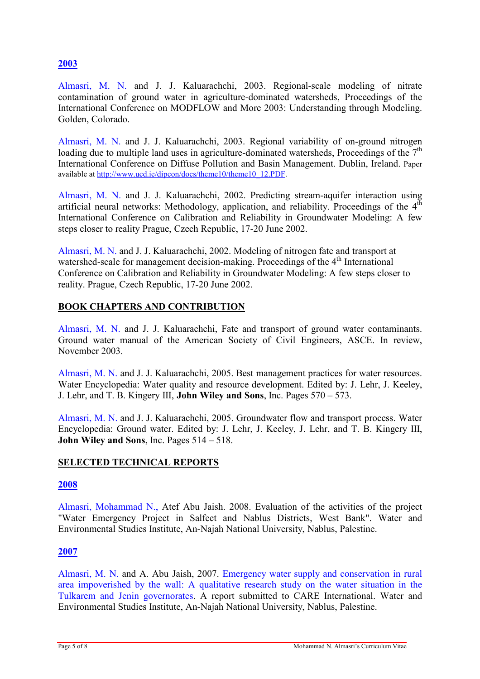# 2003

Almasri, M. N. and J. J. Kaluarachchi, 2003. Regional-scale modeling of nitrate contamination of ground water in agriculture-dominated watersheds, Proceedings of the International Conference on MODFLOW and More 2003: Understanding through Modeling. Golden, Colorado.

Almasri, M. N. and J. J. Kaluarachchi, 2003. Regional variability of on-ground nitrogen loading due to multiple land uses in agriculture-dominated watersheds, Proceedings of the  $7<sup>th</sup>$ International Conference on Diffuse Pollution and Basin Management. Dublin, Ireland. Paper available at http://www.ucd.ie/dipcon/docs/theme10/theme10\_12.PDF.

Almasri, M. N. and J. J. Kaluarachchi, 2002. Predicting stream-aquifer interaction using artificial neural networks: Methodology, application, and reliability. Proceedings of the  $4<sup>th</sup>$ International Conference on Calibration and Reliability in Groundwater Modeling: A few steps closer to reality Prague, Czech Republic, 17-20 June 2002.

Almasri, M. N. and J. J. Kaluarachchi, 2002. Modeling of nitrogen fate and transport at watershed-scale for management decision-making. Proceedings of the 4<sup>th</sup> International Conference on Calibration and Reliability in Groundwater Modeling: A few steps closer to reality. Prague, Czech Republic, 17-20 June 2002.

# BOOK CHAPTERS AND CONTRIBUTION

Almasri, M. N. and J. J. Kaluarachchi, Fate and transport of ground water contaminants. Ground water manual of the American Society of Civil Engineers, ASCE. In review, November 2003.

Almasri, M. N. and J. J. Kaluarachchi, 2005. Best management practices for water resources. Water Encyclopedia: Water quality and resource development. Edited by: J. Lehr, J. Keeley, J. Lehr, and T. B. Kingery III, John Wiley and Sons, Inc. Pages 570 – 573.

Almasri, M. N. and J. J. Kaluarachchi, 2005. Groundwater flow and transport process. Water Encyclopedia: Ground water. Edited by: J. Lehr, J. Keeley, J. Lehr, and T. B. Kingery III, John Wiley and Sons, Inc. Pages 514 – 518.

# SELECTED TECHNICAL REPORTS

## 2008

Almasri, Mohammad N., Atef Abu Jaish. 2008. Evaluation of the activities of the project "Water Emergency Project in Salfeet and Nablus Districts, West Bank". Water and Environmental Studies Institute, An-Najah National University, Nablus, Palestine.

## 2007

Almasri, M. N. and A. Abu Jaish, 2007. Emergency water supply and conservation in rural area impoverished by the wall: A qualitative research study on the water situation in the Tulkarem and Jenin governorates. A report submitted to CARE International. Water and Environmental Studies Institute, An-Najah National University, Nablus, Palestine.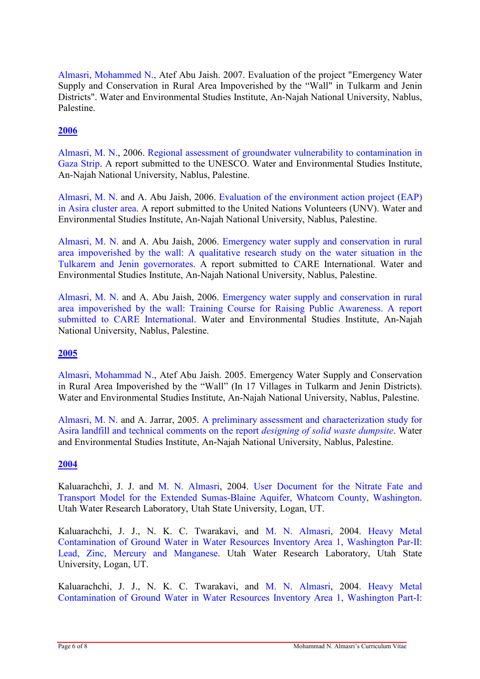Almasri, Mohammed N., Atef Abu Jaish. 2007. Evaluation of the project "Emergency Water Supply and Conservation in Rural Area Impoverished by the "Wall" in Tulkarm and Jenin Districts". Water and Environmental Studies Institute, An-Najah National University, Nablus, Palestine.

# 2006

Almasri, M. N., 2006. Regional assessment of groundwater vulnerability to contamination in Gaza Strip. A report submitted to the UNESCO. Water and Environmental Studies Institute, An-Najah National University, Nablus, Palestine.

Almasri, M. N. and A. Abu Jaish, 2006. Evaluation of the environment action project (EAP) in Asira cluster area. A report submitted to the United Nations Volunteers (UNV). Water and Environmental Studies Institute, An-Najah National University, Nablus, Palestine.

Almasri, M. N. and A. Abu Jaish, 2006. Emergency water supply and conservation in rural area impoverished by the wall: A qualitative research study on the water situation in the Tulkarem and Jenin governorates. A report submitted to CARE International. Water and Environmental Studies Institute, An-Najah National University, Nablus, Palestine.

Almasri, M. N. and A. Abu Jaish, 2006. Emergency water supply and conservation in rural area impoverished by the wall: Training Course for Raising Public Awareness. A report submitted to CARE International. Water and Environmental Studies Institute, An-Najah National University, Nablus, Palestine.

# 2005

Almasri, Mohammad N., Atef Abu Jaish. 2005. Emergency Water Supply and Conservation in Rural Area Impoverished by the "Wall" (In 17 Villages in Tulkarm and Jenin Districts). Water and Environmental Studies Institute, An-Najah National University, Nablus, Palestine.

Almasri, M. N. and A. Jarrar, 2005. A preliminary assessment and characterization study for Asira landfill and technical comments on the report designing of solid waste dumpsite. Water and Environmental Studies Institute, An-Najah National University, Nablus, Palestine.

# 2004

Kaluarachchi, J. J. and M. N. Almasri, 2004. User Document for the Nitrate Fate and Transport Model for the Extended Sumas-Blaine Aquifer, Whatcom County, Washington. Utah Water Research Laboratory, Utah State University, Logan, UT.

Kaluarachchi, J. J., N. K. C. Twarakavi, and M. N. Almasri, 2004. Heavy Metal Contamination of Ground Water in Water Resources Inventory Area 1, Washington Par-II: Lead, Zinc, Mercury and Manganese. Utah Water Research Laboratory, Utah State University, Logan, UT.

Kaluarachchi, J. J., N. K. C. Twarakavi, and M. N. Almasri, 2004. Heavy Metal Contamination of Ground Water in Water Resources Inventory Area 1, Washington Part-I: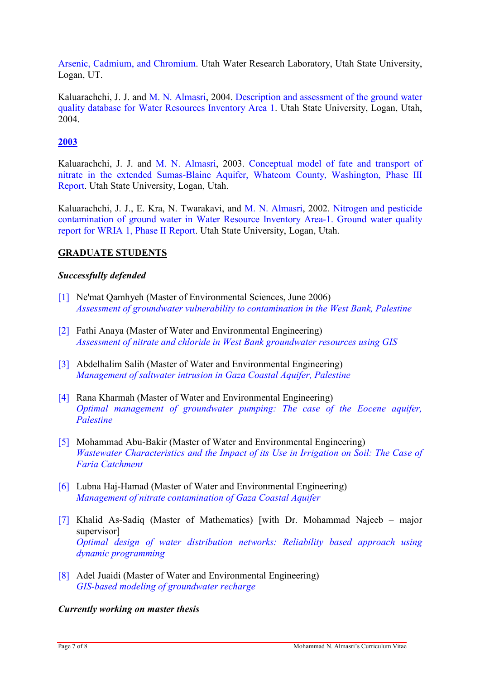Arsenic, Cadmium, and Chromium. Utah Water Research Laboratory, Utah State University, Logan, UT.

Kaluarachchi, J. J. and M. N. Almasri, 2004. Description and assessment of the ground water quality database for Water Resources Inventory Area 1. Utah State University, Logan, Utah, 2004.

# 2003

Kaluarachchi, J. J. and M. N. Almasri, 2003. Conceptual model of fate and transport of nitrate in the extended Sumas-Blaine Aquifer, Whatcom County, Washington, Phase III Report. Utah State University, Logan, Utah.

Kaluarachchi, J. J., E. Kra, N. Twarakavi, and M. N. Almasri, 2002. Nitrogen and pesticide contamination of ground water in Water Resource Inventory Area-1. Ground water quality report for WRIA 1, Phase II Report. Utah State University, Logan, Utah.

## GRADUATE STUDENTS

## Successfully defended

- [1] Ne'mat Qamhyeh (Master of Environmental Sciences, June 2006) Assessment of groundwater vulnerability to contamination in the West Bank, Palestine
- [2] Fathi Anaya (Master of Water and Environmental Engineering) Assessment of nitrate and chloride in West Bank groundwater resources using GIS
- [3] Abdelhalim Salih (Master of Water and Environmental Engineering) Management of saltwater intrusion in Gaza Coastal Aquifer, Palestine
- [4] Rana Kharmah (Master of Water and Environmental Engineering) Optimal management of groundwater pumping: The case of the Eocene aquifer, Palestine
- [5] Mohammad Abu-Bakir (Master of Water and Environmental Engineering) Wastewater Characteristics and the Impact of its Use in Irrigation on Soil: The Case of Faria Catchment
- [6] Lubna Haj-Hamad (Master of Water and Environmental Engineering) Management of nitrate contamination of Gaza Coastal Aquifer
- [7] Khalid As-Sadiq (Master of Mathematics) [with Dr. Mohammad Najeeb major supervisor] Optimal design of water distribution networks: Reliability based approach using dynamic programming
- [8] Adel Juaidi (Master of Water and Environmental Engineering) GIS-based modeling of groundwater recharge

#### Currently working on master thesis